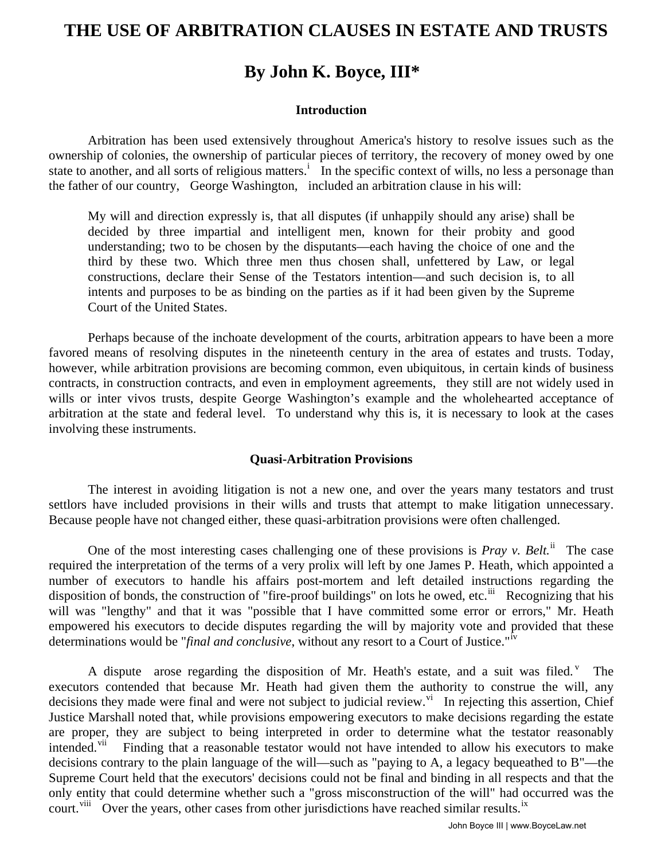# **THE USE OF ARBITRATION CLAUSES IN ESTATE AND TRUSTS**

# **By John K. Boyce, III\***

## **Introduction**

Arbitration has been used extensively throughout America's history to resolve issues such as the ownership of colonies, the ownership of particular pieces of territory, the recovery of money owed by one state to another, and all sorts of rel[i](#page-2-0)gious matters.<sup>i</sup> In the specific context of wills, no less a personage than the father of our country, George Washington, included an arbitration clause in his will:

My will and direction expressly is, that all disputes (if unhappily should any arise) shall be decided by three impartial and intelligent men, known for their probity and good understanding; two to be chosen by the disputants—each having the choice of one and the third by these two. Which three men thus chosen shall, unfettered by Law, or legal constructions, declare their Sense of the Testators intention—and such decision is, to all intents and purposes to be as binding on the parties as if it had been given by the Supreme Court of the United States.

Perhaps because of the inchoate development of the courts, arbitration appears to have been a more favored means of resolving disputes in the nineteenth century in the area of estates and trusts. Today, however, while arbitration provisions are becoming common, even ubiquitous, in certain kinds of business contracts, in construction contracts, and even in employment agreements, they still are not widely used in wills or inter vivos trusts, despite George Washington's example and the wholehearted acceptance of arbitration at the state and federal level. To understand why this is, it is necessary to look at the cases involving these instruments.

### **Quasi-Arbitration Provisions**

The interest in avoiding litigation is not a new one, and over the years many testators and trust settlors have included provisions in their wills and trusts that attempt to make litigation unnecessary. Because people have not changed either, these quasi-arbitration provisions were often challenged.

One of the most interesting cases challenging one of these provisions is *Pray v. Belt.*<sup>[ii](#page-2-1)</sup> The case required the interpretation of the terms of a very prolix will left by one James P. Heath, which appointed a number of executors to handle his affairs post-mortem and left detailed instructions regarding the disposition of bonds, the construction of "fire-proof buildings" on lots he owed, etc.<sup>[iii](#page-2-1)</sup> Recognizing that his will was "lengthy" and that it was "possible that I have committed some error or errors," Mr. Heath empowered his executors to decide disputes regarding the will by majority vote and provided that these determinations would be "*final and conclusive*, without any resort to a Court of Justice."[iv](#page-2-1)

A dispute arose regarding the disposition of Mr. Heath's estate, and a suit was filed.  $V$  The executors contended that because Mr. Heath had given them the authority to construe the will, any decisions they made were final and were not subject to judicial re[vi](#page-3-0)ew. $\overline{v}$  In rejecting this assertion, Chief Justice Marshall noted that, while provisions empowering executors to make decisions regarding the estate are proper, they are subject to being interpreted in order to determine what the testator reasonably intended.<sup>[vii](#page-3-0)</sup> Finding that a reasonable testator would not have intended to allow his executors to make decisions contrary to the plain language of the will—such as "paying to A, a legacy bequeathed to B"—the Supreme Court held that the executors' decisions could not be final and binding in all respects and that the only entity that could determine whether such a "gross misconstruction of the will" had occurred was the court.<sup>[viii](#page-3-0)</sup> Over the years, other cases from other jurisdictions have reached similar results.<sup>[ix](#page-3-0)</sup>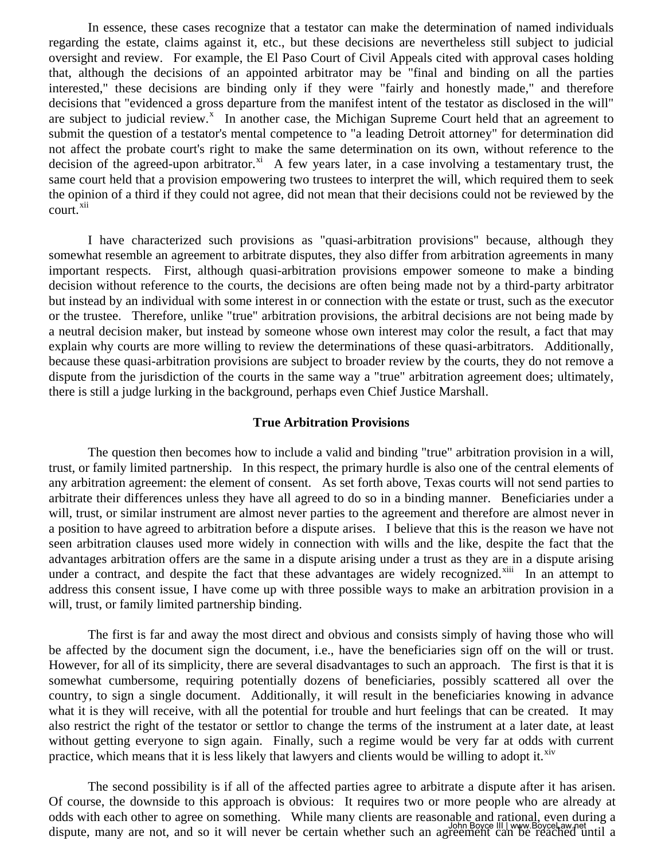In essence, these cases recognize that a testator can make the determination of named individuals regarding the estate, claims against it, etc., but these decisions are nevertheless still subject to judicial oversight and review. For example, the El Paso Court of Civil Appeals cited with approval cases holding that, although the decisions of an appointed arbitrator may be "final and binding on all the parties interested," these decisions are binding only if they were "fairly and honestly made," and therefore decisions that "evidenced a gross departure from the manifest intent of the testator as disclosed in the will" are subject to judicial review.<sup>[x](#page-3-0)</sup> In another case, the Michigan Supreme Court held that an agreement to submit the question of a testator's mental competence to "a leading Detroit attorney" for determination did not affect the probate court's right to make the same determination on its own, without reference to the decision of the agreed-upon arbitrator.<sup>[xi](#page-3-0)</sup> A few years later, in a case involving a testamentary trust, the same court held that a provision empowering two trustees to interpret the will, which required them to seek the opinion of a third if they could not agree, did not mean that their decisions could not be reviewed by the court.<sup>[xii](#page-3-0)</sup>

I have characterized such provisions as "quasi-arbitration provisions" because, although they somewhat resemble an agreement to arbitrate disputes, they also differ from arbitration agreements in many important respects. First, although quasi-arbitration provisions empower someone to make a binding decision without reference to the courts, the decisions are often being made not by a third-party arbitrator but instead by an individual with some interest in or connection with the estate or trust, such as the executor or the trustee. Therefore, unlike "true" arbitration provisions, the arbitral decisions are not being made by a neutral decision maker, but instead by someone whose own interest may color the result, a fact that may explain why courts are more willing to review the determinations of these quasi-arbitrators. Additionally, because these quasi-arbitration provisions are subject to broader review by the courts, they do not remove a dispute from the jurisdiction of the courts in the same way a "true" arbitration agreement does; ultimately, there is still a judge lurking in the background, perhaps even Chief Justice Marshall.

### **True Arbitration Provisions**

The question then becomes how to include a valid and binding "true" arbitration provision in a will, trust, or family limited partnership. In this respect, the primary hurdle is also one of the central elements of any arbitration agreement: the element of consent. As set forth above, Texas courts will not send parties to arbitrate their differences unless they have all agreed to do so in a binding manner. Beneficiaries under a will, trust, or similar instrument are almost never parties to the agreement and therefore are almost never in a position to have agreed to arbitration before a dispute arises. I believe that this is the reason we have not seen arbitration clauses used more widely in connection with wills and the like, despite the fact that the advantages arbitration offers are the same in a dispute arising under a trust as they are in a dispute arising under a contract, and despite the fact that these advantages are widely recognized.<sup>[xiii](#page-3-0)</sup> In an attempt to address this consent issue, I have come up with three possible ways to make an arbitration provision in a will, trust, or family limited partnership binding.

The first is far and away the most direct and obvious and consists simply of having those who will be affected by the document sign the document, i.e., have the beneficiaries sign off on the will or trust. However, for all of its simplicity, there are several disadvantages to such an approach. The first is that it is somewhat cumbersome, requiring potentially dozens of beneficiaries, possibly scattered all over the country, to sign a single document. Additionally, it will result in the beneficiaries knowing in advance what it is they will receive, with all the potential for trouble and hurt feelings that can be created. It may also restrict the right of the testator or settlor to change the terms of the instrument at a later date, at least without getting everyone to sign again. Finally, such a regime would be very far at odds with current practice, which means that it is less likely that lawyers and clients would be willing to adopt it.  $\frac{X}{X}$ 

The second possibility is if all of the affected parties agree to arbitrate a dispute after it has arisen. Of course, the downside to this approach is obvious: It requires two or more people who are already at odds with each other to agree on something. While many clients are reasonable and rational, even during a dispute, many are not, and so it will never be certain whether such an agreement can be reached until a John Boyce III | www.BoyceLaw.net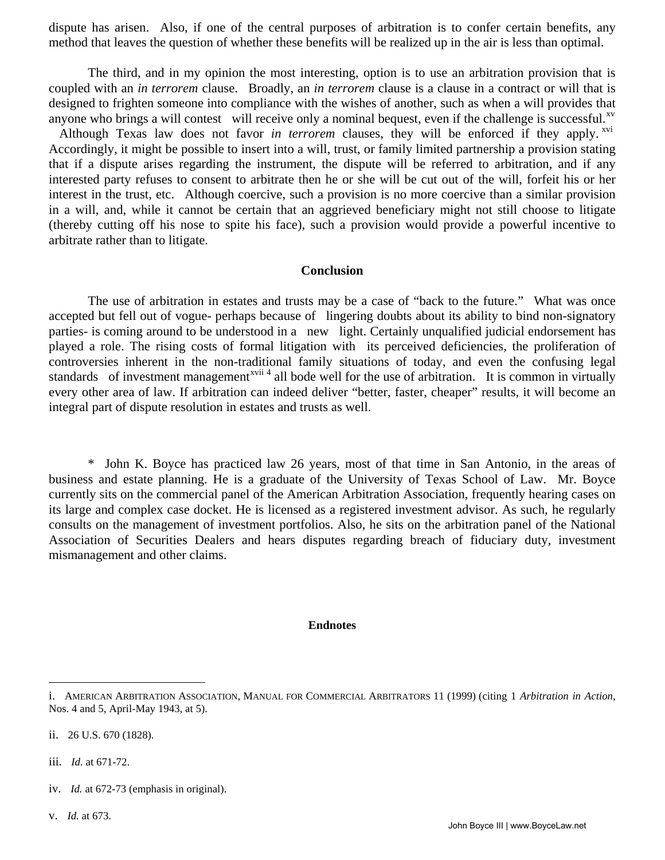<span id="page-2-1"></span>dispute has arisen. Also, if one of the central purposes of arbitration is to confer certain benefits, any method that leaves the question of whether these benefits will be realized up in the air is less than optimal.

The third, and in my opinion the most interesting, option is to use an arbitration provision that is coupled with an *in terrorem* clause. Broadly, an *in terrorem* clause is a clause in a contract or will that is designed to frighten someone into compliance with the wishes of another, such as when a will provides that anyone who brings a will contest will receive only a nominal bequest, even if the challenge is successful.<sup>[xv](#page-3-1)</sup>

Although Texas law does not favor *in terrorem* clauses, they will be enforced if they apply.<sup>[xvi](#page-3-2)</sup> Accordingly, it might be possible to insert into a will, trust, or family limited partnership a provision stating that if a dispute arises regarding the instrument, the dispute will be referred to arbitration, and if any interested party refuses to consent to arbitrate then he or she will be cut out of the will, forfeit his or her interest in the trust, etc. Although coercive, such a provision is no more coercive than a similar provision in a will, and, while it cannot be certain that an aggrieved beneficiary might not still choose to litigate (thereby cutting off his nose to spite his face), such a provision would provide a powerful incentive to arbitrate rather than to litigate.

### **Conclusion**

The use of arbitration in estates and trusts may be a case of "back to the future." What was once accepted but fell out of vogue- perhaps because of lingering doubts about its ability to bind non-signatory parties- is coming around to be understood in a new light. Certainly unqualified judicial endorsement has played a role. The rising costs of formal litigation with its perceived deficiencies, the proliferation of controversies inherent in the non-traditional family situations of today, and even the confusing legal standards of investment management<sup>[xvii](#page-3-3) 4</sup> all bode well for the use of arbitration. It is common in virtually every other area of law. If arbitration can indeed deliver "better, faster, cheaper" results, it will become an integral part of dispute resolution in estates and trusts as well.

\* John K. Boyce has practiced law 26 years, most of that time in San Antonio, in the areas of business and estate planning. He is a graduate of the University of Texas School of Law. Mr. Boyce currently sits on the commercial panel of the American Arbitration Association, frequently hearing cases on its large and complex case docket. He is licensed as a registered investment advisor. As such, he regularly consults on the management of investment portfolios. Also, he sits on the arbitration panel of the National Association of Securities Dealers and hears disputes regarding breach of fiduciary duty, investment mismanagement and other claims.

#### **Endnotes**

iii. *Id.* at 671-72.

 $\overline{a}$ 

- iv. *Id.* at 672-73 (emphasis in original).
- v. *Id.* at 673.

<span id="page-2-0"></span>i. AMERICAN ARBITRATION ASSOCIATION, MANUAL FOR COMMERCIAL ARBITRATORS 11 (1999) (citing 1 *Arbitration in Action*, Nos. 4 and 5, April-May 1943, at 5).

ii. 26 U.S. 670 (1828).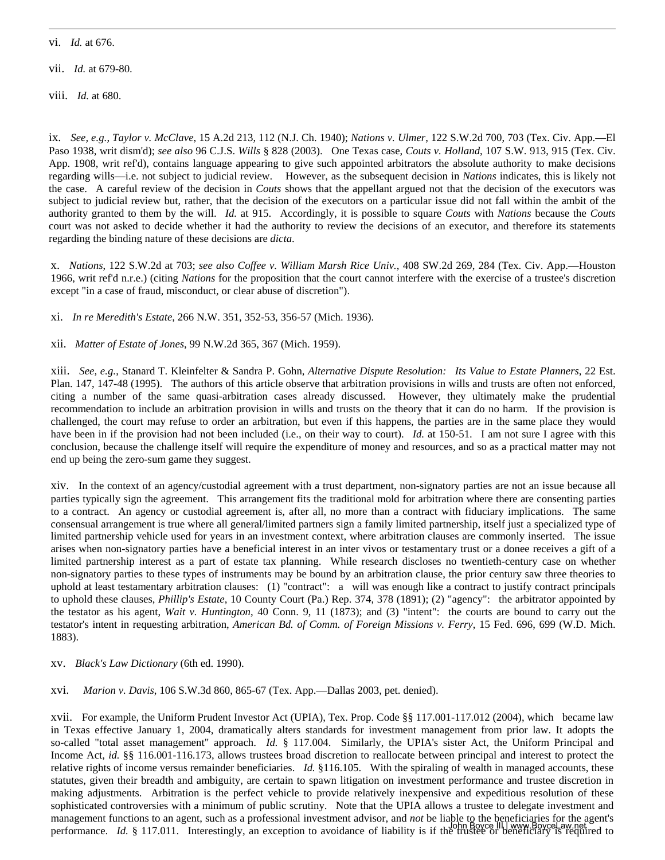vi. *Id.* at 676.

<span id="page-3-0"></span> $\overline{a}$ 

<span id="page-3-1"></span>vii. *Id.* at 679-80.

viii. *Id.* at 680.

ix. *See, e.g.*, *Taylor v. McClave*, 15 A.2d 213, 112 (N.J. Ch. 1940); *Nations v. Ulmer*, 122 S.W.2d 700, 703 (Tex. Civ. App.—El Paso 1938, writ dism'd); *see also* 96 C.J.S. *Wills* § 828 (2003). One Texas case, *Couts v. Holland*, 107 S.W. 913, 915 (Tex. Civ. App. 1908, writ ref'd), contains language appearing to give such appointed arbitrators the absolute authority to make decisions regarding wills—i.e. not subject to judicial review. However, as the subsequent decision in *Nations* indicates, this is likely not the case. A careful review of the decision in *Couts* shows that the appellant argued not that the decision of the executors was subject to judicial review but, rather, that the decision of the executors on a particular issue did not fall within the ambit of the authority granted to them by the will. *Id.* at 915. Accordingly, it is possible to square *Couts* with *Nations* because the *Couts* court was not asked to decide whether it had the authority to review the decisions of an executor, and therefore its statements regarding the binding nature of these decisions are *dicta*.

x. *Nations*, 122 S.W.2d at 703; *see also Coffee v. William Marsh Rice Univ.*, 408 SW.2d 269, 284 (Tex. Civ. App.—Houston 1966, writ ref'd n.r.e.) (citing *Nations* for the proposition that the court cannot interfere with the exercise of a trustee's discretion except "in a case of fraud, misconduct, or clear abuse of discretion").

xi. *In re Meredith's Estate*, 266 N.W. 351, 352-53, 356-57 (Mich. 1936).

xii. *Matter of Estate of Jones*, 99 N.W.2d 365, 367 (Mich. 1959).

xiii. *See, e.g.*, Stanard T. Kleinfelter & Sandra P. Gohn, *Alternative Dispute Resolution: Its Value to Estate Planners*, 22 Est. Plan. 147, 147-48 (1995). The authors of this article observe that arbitration provisions in wills and trusts are often not enforced, citing a number of the same quasi-arbitration cases already discussed. However, they ultimately make the prudential recommendation to include an arbitration provision in wills and trusts on the theory that it can do no harm. If the provision is challenged, the court may refuse to order an arbitration, but even if this happens, the parties are in the same place they would have been in if the provision had not been included (i.e., on their way to court). *Id.* at 150-51. I am not sure I agree with this conclusion, because the challenge itself will require the expenditure of money and resources, and so as a practical matter may not end up being the zero-sum game they suggest.

xiv. In the context of an agency/custodial agreement with a trust department, non-signatory parties are not an issue because all parties typically sign the agreement. This arrangement fits the traditional mold for arbitration where there are consenting parties to a contract. An agency or custodial agreement is, after all, no more than a contract with fiduciary implications. The same consensual arrangement is true where all general/limited partners sign a family limited partnership, itself just a specialized type of limited partnership vehicle used for years in an investment context, where arbitration clauses are commonly inserted. The issue arises when non-signatory parties have a beneficial interest in an inter vivos or testamentary trust or a donee receives a gift of a limited partnership interest as a part of estate tax planning. While research discloses no twentieth-century case on whether non-signatory parties to these types of instruments may be bound by an arbitration clause, the prior century saw three theories to uphold at least testamentary arbitration clauses: (1) "contract": a will was enough like a contract to justify contract principals to uphold these clauses, *Phillip's Estate*, 10 County Court (Pa.) Rep. 374, 378 (1891); (2) "agency": the arbitrator appointed by the testator as his agent, *Wait v. Huntington*, 40 Conn. 9, 11 (1873); and (3) "intent": the courts are bound to carry out the testator's intent in requesting arbitration, *American Bd. of Comm. of Foreign Missions v. Ferry*, 15 Fed. 696, 699 (W.D. Mich. 1883).

#### xv. *Black's Law Dictionary* (6th ed. 1990).

<span id="page-3-2"></span>xvi. *Marion v. Davis*, 106 S.W.3d 860, 865-67 (Tex. App.—Dallas 2003, pet. denied).

<span id="page-3-3"></span>xvii. For example, the Uniform Prudent Investor Act (UPIA), Tex. Prop. Code §§ 117.001-117.012 (2004), which became law in Texas effective January 1, 2004, dramatically alters standards for investment management from prior law. It adopts the so-called "total asset management" approach. *Id.* § 117.004. Similarly, the UPIA's sister Act, the Uniform Principal and Income Act, *id.* §§ 116.001-116.173, allows trustees broad discretion to reallocate between principal and interest to protect the relative rights of income versus remainder beneficiaries. *Id.* §116.105. With the spiraling of wealth in managed accounts, these statutes, given their breadth and ambiguity, are certain to spawn litigation on investment performance and trustee discretion in making adjustments. Arbitration is the perfect vehicle to provide relatively inexpensive and expeditious resolution of these sophisticated controversies with a minimum of public scrutiny. Note that the UPIA allows a trustee to delegate investment and management functions to an agent, such as a professional investment advisor, and *not* be liable to the beneficiaries for the agent's performance. *Id.* § 117.011. Interestingly, an exception to avoidance of liability is if the trustee or beneficiary is required to